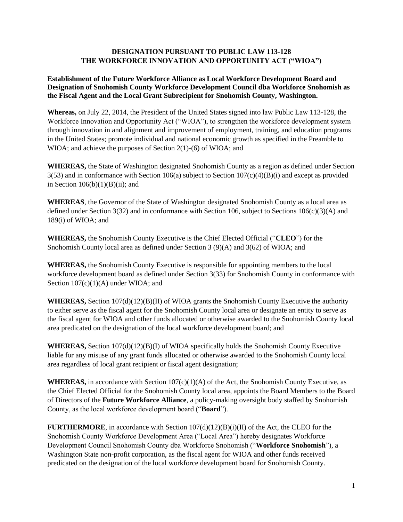## **DESIGNATION PURSUANT TO PUBLIC LAW 113-128 THE WORKFORCE INNOVATION AND OPPORTUNITY ACT ("WIOA")**

## **Establishment of the Future Workforce Alliance as Local Workforce Development Board and Designation of Snohomish County Workforce Development Council dba Workforce Snohomish as the Fiscal Agent and the Local Grant Subrecipient for Snohomish County, Washington.**

**Whereas,** on July 22, 2014, the President of the United States signed into law Public Law 113-128, the Workforce Innovation and Opportunity Act ("WIOA"), to strengthen the workforce development system through innovation in and alignment and improvement of employment, training, and education programs in the United States; promote individual and national economic growth as specified in the Preamble to WIOA; and achieve the purposes of Section 2(1)-(6) of WIOA; and

**WHEREAS,** the State of Washington designated Snohomish County as a region as defined under Section  $3(53)$  and in conformance with Section 106(a) subject to Section  $107(c)(4)(B)(i)$  and except as provided in Section  $106(b)(1)(B)(ii)$ ; and

**WHEREAS**, the Governor of the State of Washington designated Snohomish County as a local area as defined under Section 3(32) and in conformance with Section 106, subject to Sections  $106(c)(3)(A)$  and 189(i) of WIOA; and

**WHEREAS,** the Snohomish County Executive is the Chief Elected Official ("**CLEO**") for the Snohomish County local area as defined under Section 3 (9)(A) and 3(62) of WIOA; and

**WHEREAS,** the Snohomish County Executive is responsible for appointing members to the local workforce development board as defined under Section 3(33) for Snohomish County in conformance with Section  $107(c)(1)(A)$  under WIOA; and

**WHEREAS,** Section 107(d)(12)(B)(II) of WIOA grants the Snohomish County Executive the authority to either serve as the fiscal agent for the Snohomish County local area or designate an entity to serve as the fiscal agent for WIOA and other funds allocated or otherwise awarded to the Snohomish County local area predicated on the designation of the local workforce development board; and

**WHEREAS,** Section 107(d)(12)(B)(I) of WIOA specifically holds the Snohomish County Executive liable for any misuse of any grant funds allocated or otherwise awarded to the Snohomish County local area regardless of local grant recipient or fiscal agent designation;

**WHEREAS,** in accordance with Section  $107(c)(1)(A)$  of the Act, the Snohomish County Executive, as the Chief Elected Official for the Snohomish County local area, appoints the Board Members to the Board of Directors of the **Future Workforce Alliance**, a policy-making oversight body staffed by Snohomish County, as the local workforce development board ("**Board**").

**FURTHERMORE**, in accordance with Section  $107(d)(12)(B)(i)(II)$  of the Act, the CLEO for the Snohomish County Workforce Development Area ("Local Area") hereby designates Workforce Development Council Snohomish County dba Workforce Snohomish ("**Workforce Snohomish**"), a Washington State non-profit corporation, as the fiscal agent for WIOA and other funds received predicated on the designation of the local workforce development board for Snohomish County.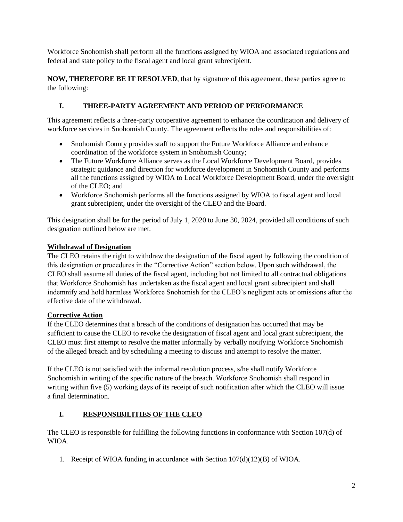Workforce Snohomish shall perform all the functions assigned by WIOA and associated regulations and federal and state policy to the fiscal agent and local grant subrecipient.

**NOW, THEREFORE BE IT RESOLVED**, that by signature of this agreement, these parties agree to the following:

# **I. THREE-PARTY AGREEMENT AND PERIOD OF PERFORMANCE**

This agreement reflects a three-party cooperative agreement to enhance the coordination and delivery of workforce services in Snohomish County. The agreement reflects the roles and responsibilities of:

- Snohomish County provides staff to support the Future Workforce Alliance and enhance coordination of the workforce system in Snohomish County;
- The Future Workforce Alliance serves as the Local Workforce Development Board, provides strategic guidance and direction for workforce development in Snohomish County and performs all the functions assigned by WIOA to Local Workforce Development Board, under the oversight of the CLEO; and
- Workforce Snohomish performs all the functions assigned by WIOA to fiscal agent and local grant subrecipient, under the oversight of the CLEO and the Board.

This designation shall be for the period of July 1, 2020 to June 30, 2024, provided all conditions of such designation outlined below are met.

# **Withdrawal of Designation**

The CLEO retains the right to withdraw the designation of the fiscal agent by following the condition of this designation or procedures in the "Corrective Action" section below. Upon such withdrawal, the CLEO shall assume all duties of the fiscal agent, including but not limited to all contractual obligations that Workforce Snohomish has undertaken as the fiscal agent and local grant subrecipient and shall indemnify and hold harmless Workforce Snohomish for the CLEO's negligent acts or omissions after the effective date of the withdrawal.

# **Corrective Action**

If the CLEO determines that a breach of the conditions of designation has occurred that may be sufficient to cause the CLEO to revoke the designation of fiscal agent and local grant subrecipient, the CLEO must first attempt to resolve the matter informally by verbally notifying Workforce Snohomish of the alleged breach and by scheduling a meeting to discuss and attempt to resolve the matter.

If the CLEO is not satisfied with the informal resolution process, s/he shall notify Workforce Snohomish in writing of the specific nature of the breach. Workforce Snohomish shall respond in writing within five (5) working days of its receipt of such notification after which the CLEO will issue a final determination.

# **I. RESPONSIBILITIES OF THE CLEO**

The CLEO is responsible for fulfilling the following functions in conformance with Section 107(d) of WIOA.

1. Receipt of WIOA funding in accordance with Section  $107(d)(12)(B)$  of WIOA.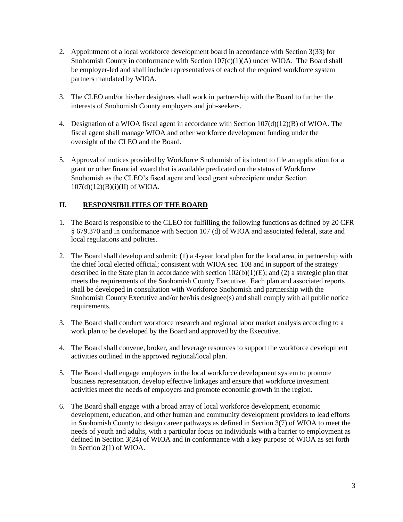- 2. Appointment of a local workforce development board in accordance with Section 3(33) for Snohomish County in conformance with Section 107(c)(1)(A) under WIOA. The Board shall be employer-led and shall include representatives of each of the required workforce system partners mandated by WIOA.
- 3. The CLEO and/or his/her designees shall work in partnership with the Board to further the interests of Snohomish County employers and job-seekers.
- 4. Designation of a WIOA fiscal agent in accordance with Section 107(d)(12)(B) of WIOA. The fiscal agent shall manage WIOA and other workforce development funding under the oversight of the CLEO and the Board.
- 5. Approval of notices provided by Workforce Snohomish of its intent to file an application for a grant or other financial award that is available predicated on the status of Workforce Snohomish as the CLEO's fiscal agent and local grant subrecipient under Section  $107(d)(12)(B)(i)(II)$  of WIOA.

# **II. RESPONSIBILITIES OF THE BOARD**

- 1. The Board is responsible to the CLEO for fulfilling the following functions as defined by 20 CFR § 679.370 and in conformance with Section 107 (d) of WIOA and associated federal, state and local regulations and policies.
- 2. The Board shall develop and submit: (1) a 4-year local plan for the local area, in partnership with the chief local elected official; consistent with WIOA sec. 108 and in support of the strategy described in the State plan in accordance with section 102(b)(1)(E); and (2) a strategic plan that meets the requirements of the Snohomish County Executive. Each plan and associated reports shall be developed in consultation with Workforce Snohomish and partnership with the Snohomish County Executive and/or her/his designee(s) and shall comply with all public notice requirements.
- 3. The Board shall conduct workforce research and regional labor market analysis according to a work plan to be developed by the Board and approved by the Executive.
- 4. The Board shall convene, broker, and leverage resources to support the workforce development activities outlined in the approved regional/local plan.
- 5. The Board shall engage employers in the local workforce development system to promote business representation, develop effective linkages and ensure that workforce investment activities meet the needs of employers and promote economic growth in the region.
- 6. The Board shall engage with a broad array of local workforce development, economic development, education, and other human and community development providers to lead efforts in Snohomish County to design career pathways as defined in Section  $3(7)$  of WIOA to meet the needs of youth and adults, with a particular focus on individuals with a barrier to employment as defined in Section 3(24) of WIOA and in conformance with a key purpose of WIOA as set forth in Section 2(1) of WIOA.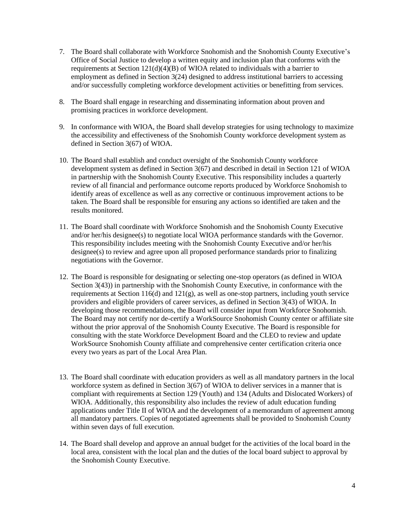- 7. The Board shall collaborate with Workforce Snohomish and the Snohomish County Executive's Office of Social Justice to develop a written equity and inclusion plan that conforms with the requirements at Section 121(d)(4)(B) of WIOA related to individuals with a barrier to employment as defined in Section 3(24) designed to address institutional barriers to accessing and/or successfully completing workforce development activities or benefitting from services.
- 8. The Board shall engage in researching and disseminating information about proven and promising practices in workforce development.
- 9. In conformance with WIOA, the Board shall develop strategies for using technology to maximize the accessibility and effectiveness of the Snohomish County workforce development system as defined in Section 3(67) of WIOA.
- 10. The Board shall establish and conduct oversight of the Snohomish County workforce development system as defined in Section 3(67) and described in detail in Section 121 of WIOA in partnership with the Snohomish County Executive. This responsibility includes a quarterly review of all financial and performance outcome reports produced by Workforce Snohomish to identify areas of excellence as well as any corrective or continuous improvement actions to be taken. The Board shall be responsible for ensuring any actions so identified are taken and the results monitored.
- 11. The Board shall coordinate with Workforce Snohomish and the Snohomish County Executive and/or her/his designee(s) to negotiate local WIOA performance standards with the Governor. This responsibility includes meeting with the Snohomish County Executive and/or her/his designee(s) to review and agree upon all proposed performance standards prior to finalizing negotiations with the Governor.
- 12. The Board is responsible for designating or selecting one-stop operators (as defined in WIOA Section 3(43)) in partnership with the Snohomish County Executive, in conformance with the requirements at Section  $116(d)$  and  $121(g)$ , as well as one-stop partners, including youth service providers and eligible providers of career services, as defined in Section 3(43) of WIOA. In developing those recommendations, the Board will consider input from Workforce Snohomish. The Board may not certify nor de-certify a WorkSource Snohomish County center or affiliate site without the prior approval of the Snohomish County Executive. The Board is responsible for consulting with the state Workforce Development Board and the CLEO to review and update WorkSource Snohomish County affiliate and comprehensive center certification criteria once every two years as part of the Local Area Plan.
- 13. The Board shall coordinate with education providers as well as all mandatory partners in the local workforce system as defined in Section 3(67) of WIOA to deliver services in a manner that is compliant with requirements at Section 129 (Youth) and 134 (Adults and Dislocated Workers) of WIOA. Additionally, this responsibility also includes the review of adult education funding applications under Title II of WIOA and the development of a memorandum of agreement among all mandatory partners. Copies of negotiated agreements shall be provided to Snohomish County within seven days of full execution.
- 14. The Board shall develop and approve an annual budget for the activities of the local board in the local area, consistent with the local plan and the duties of the local board subject to approval by the Snohomish County Executive.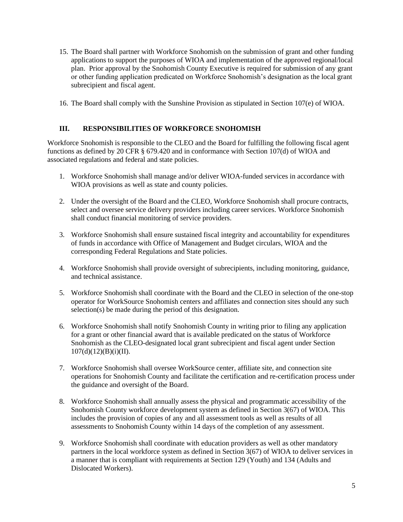- 15. The Board shall partner with Workforce Snohomish on the submission of grant and other funding applications to support the purposes of WIOA and implementation of the approved regional/local plan. Prior approval by the Snohomish County Executive is required for submission of any grant or other funding application predicated on Workforce Snohomish's designation as the local grant subrecipient and fiscal agent.
- 16. The Board shall comply with the Sunshine Provision as stipulated in Section 107(e) of WIOA.

# **III. RESPONSIBILITIES OF WORKFORCE SNOHOMISH**

Workforce Snohomish is responsible to the CLEO and the Board for fulfilling the following fiscal agent functions as defined by 20 CFR § 679.420 and in conformance with Section 107(d) of WIOA and associated regulations and federal and state policies.

- 1. Workforce Snohomish shall manage and/or deliver WIOA-funded services in accordance with WIOA provisions as well as state and county policies.
- 2. Under the oversight of the Board and the CLEO, Workforce Snohomish shall procure contracts, select and oversee service delivery providers including career services. Workforce Snohomish shall conduct financial monitoring of service providers.
- 3. Workforce Snohomish shall ensure sustained fiscal integrity and accountability for expenditures of funds in accordance with Office of Management and Budget circulars, WIOA and the corresponding Federal Regulations and State policies.
- 4. Workforce Snohomish shall provide oversight of subrecipients, including monitoring, guidance, and technical assistance.
- 5. Workforce Snohomish shall coordinate with the Board and the CLEO in selection of the one-stop operator for WorkSource Snohomish centers and affiliates and connection sites should any such selection(s) be made during the period of this designation.
- 6. Workforce Snohomish shall notify Snohomish County in writing prior to filing any application for a grant or other financial award that is available predicated on the status of Workforce Snohomish as the CLEO-designated local grant subrecipient and fiscal agent under Section  $107(d)(12)(B)(i)(II).$
- 7. Workforce Snohomish shall oversee WorkSource center, affiliate site, and connection site operations for Snohomish County and facilitate the certification and re-certification process under the guidance and oversight of the Board.
- 8. Workforce Snohomish shall annually assess the physical and programmatic accessibility of the Snohomish County workforce development system as defined in Section 3(67) of WIOA. This includes the provision of copies of any and all assessment tools as well as results of all assessments to Snohomish County within 14 days of the completion of any assessment.
- 9. Workforce Snohomish shall coordinate with education providers as well as other mandatory partners in the local workforce system as defined in Section 3(67) of WIOA to deliver services in a manner that is compliant with requirements at Section 129 (Youth) and 134 (Adults and Dislocated Workers).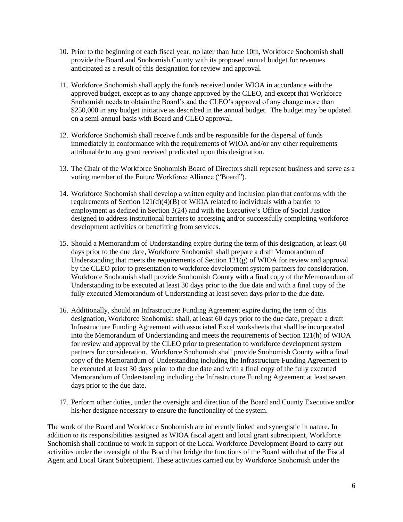- 10. Prior to the beginning of each fiscal year, no later than June 10th, Workforce Snohomish shall provide the Board and Snohomish County with its proposed annual budget for revenues anticipated as a result of this designation for review and approval.
- 11. Workforce Snohomish shall apply the funds received under WIOA in accordance with the approved budget, except as to any change approved by the CLEO, and except that Workforce Snohomish needs to obtain the Board's and the CLEO's approval of any change more than \$250,000 in any budget initiative as described in the annual budget. The budget may be updated on a semi-annual basis with Board and CLEO approval.
- 12. Workforce Snohomish shall receive funds and be responsible for the dispersal of funds immediately in conformance with the requirements of WIOA and/or any other requirements attributable to any grant received predicated upon this designation.
- 13. The Chair of the Workforce Snohomish Board of Directors shall represent business and serve as a voting member of the Future Workforce Alliance ("Board").
- 14. Workforce Snohomish shall develop a written equity and inclusion plan that conforms with the requirements of Section  $121(d)(4)(\overline{B})$  of WIOA related to individuals with a barrier to employment as defined in Section 3(24) and with the Executive's Office of Social Justice designed to address institutional barriers to accessing and/or successfully completing workforce development activities or benefitting from services.
- 15. Should a Memorandum of Understanding expire during the term of this designation, at least 60 days prior to the due date, Workforce Snohomish shall prepare a draft Memorandum of Understanding that meets the requirements of Section  $121(g)$  of WIOA for review and approval by the CLEO prior to presentation to workforce development system partners for consideration. Workforce Snohomish shall provide Snohomish County with a final copy of the Memorandum of Understanding to be executed at least 30 days prior to the due date and with a final copy of the fully executed Memorandum of Understanding at least seven days prior to the due date.
- 16. Additionally, should an Infrastructure Funding Agreement expire during the term of this designation, Workforce Snohomish shall, at least 60 days prior to the due date, prepare a draft Infrastructure Funding Agreement with associated Excel worksheets that shall be incorporated into the Memorandum of Understanding and meets the requirements of Section 121(h) of WIOA for review and approval by the CLEO prior to presentation to workforce development system partners for consideration. Workforce Snohomish shall provide Snohomish County with a final copy of the Memorandum of Understanding including the Infrastructure Funding Agreement to be executed at least 30 days prior to the due date and with a final copy of the fully executed Memorandum of Understanding including the Infrastructure Funding Agreement at least seven days prior to the due date.
- 17. Perform other duties, under the oversight and direction of the Board and County Executive and/or his/her designee necessary to ensure the functionality of the system.

The work of the Board and Workforce Snohomish are inherently linked and synergistic in nature. In addition to its responsibilities assigned as WIOA fiscal agent and local grant subrecipient, Workforce Snohomish shall continue to work in support of the Local Workforce Development Board to carry out activities under the oversight of the Board that bridge the functions of the Board with that of the Fiscal Agent and Local Grant Subrecipient. These activities carried out by Workforce Snohomish under the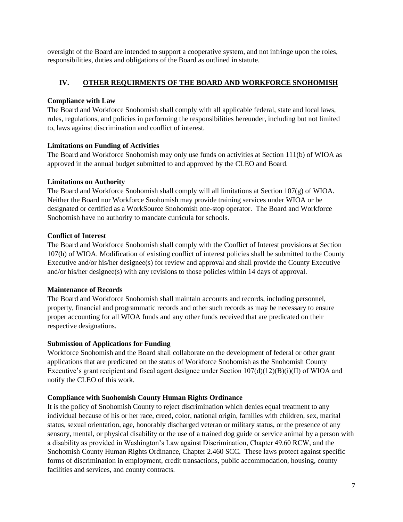oversight of the Board are intended to support a cooperative system, and not infringe upon the roles, responsibilities, duties and obligations of the Board as outlined in statute.

# **IV. OTHER REQUIRMENTS OF THE BOARD AND WORKFORCE SNOHOMISH**

## **Compliance with Law**

The Board and Workforce Snohomish shall comply with all applicable federal, state and local laws, rules, regulations, and policies in performing the responsibilities hereunder, including but not limited to, laws against discrimination and conflict of interest.

## **Limitations on Funding of Activities**

The Board and Workforce Snohomish may only use funds on activities at Section 111(b) of WIOA as approved in the annual budget submitted to and approved by the CLEO and Board.

## **Limitations on Authority**

The Board and Workforce Snohomish shall comply will all limitations at Section 107(g) of WIOA. Neither the Board nor Workforce Snohomish may provide training services under WIOA or be designated or certified as a WorkSource Snohomish one-stop operator. The Board and Workforce Snohomish have no authority to mandate curricula for schools.

## **Conflict of Interest**

The Board and Workforce Snohomish shall comply with the Conflict of Interest provisions at Section 107(h) of WIOA. Modification of existing conflict of interest policies shall be submitted to the County Executive and/or his/her designee(s) for review and approval and shall provide the County Executive and/or his/her designee(s) with any revisions to those policies within 14 days of approval.

## **Maintenance of Records**

The Board and Workforce Snohomish shall maintain accounts and records, including personnel, property, financial and programmatic records and other such records as may be necessary to ensure proper accounting for all WIOA funds and any other funds received that are predicated on their respective designations.

## **Submission of Applications for Funding**

Workforce Snohomish and the Board shall collaborate on the development of federal or other grant applications that are predicated on the status of Workforce Snohomish as the Snohomish County Executive's grant recipient and fiscal agent designee under Section  $107(d)(12)(B)(i)(II)$  of WIOA and notify the CLEO of this work.

## **Compliance with Snohomish County Human Rights Ordinance**

It is the policy of Snohomish County to reject discrimination which denies equal treatment to any individual because of his or her race, creed, color, national origin, families with children, sex, marital status, sexual orientation, age, honorably discharged veteran or military status, or the presence of any sensory, mental, or physical disability or the use of a trained dog guide or service animal by a person with a disability as provided in Washington's Law against Discrimination, Chapter 49.60 RCW, and the Snohomish County Human Rights Ordinance, Chapter 2.460 SCC. These laws protect against specific forms of discrimination in employment, credit transactions, public accommodation, housing, county facilities and services, and county contracts.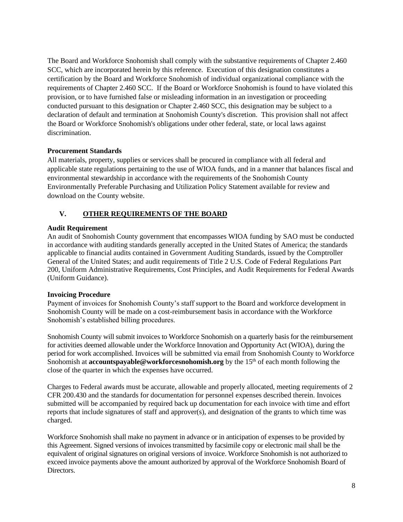The Board and Workforce Snohomish shall comply with the substantive requirements of Chapter 2.460 SCC, which are incorporated herein by this reference. Execution of this designation constitutes a certification by the Board and Workforce Snohomish of individual organizational compliance with the requirements of Chapter 2.460 SCC. If the Board or Workforce Snohomish is found to have violated this provision, or to have furnished false or misleading information in an investigation or proceeding conducted pursuant to this designation or Chapter 2.460 SCC, this designation may be subject to a declaration of default and termination at Snohomish County's discretion. This provision shall not affect the Board or Workforce Snohomish's obligations under other federal, state, or local laws against discrimination.

## **Procurement Standards**

All materials, property, supplies or services shall be procured in compliance with all federal and applicable state regulations pertaining to the use of WIOA funds, and in a manner that balances fiscal and environmental stewardship in accordance with the requirements of the Snohomish County Environmentally Preferable Purchasing and Utilization Policy Statement available for review and download on [the County website.](http://snohomishcountywa.gov/documentcenter/view/9209)

# **V. OTHER REQUIREMENTS OF THE BOARD**

## **Audit Requirement**

An audit of Snohomish County government that encompasses WIOA funding by SAO must be conducted in accordance with auditing standards generally accepted in the United States of America; the standards applicable to financial audits contained in Government Auditing Standards, issued by the Comptroller General of the United States; and audit requirements of Title 2 U.S. Code of Federal Regulations Part 200, Uniform Administrative Requirements, Cost Principles, and Audit Requirements for Federal Awards (Uniform Guidance).

# **Invoicing Procedure**

Payment of invoices for Snohomish County's staff support to the Board and workforce development in Snohomish County will be made on a cost-reimbursement basis in accordance with the Workforce Snohomish's established billing procedures.

Snohomish County will submit invoices to Workforce Snohomish on a quarterly basis for the reimbursement for activities deemed allowable under the Workforce Innovation and Opportunity Act (WIOA), during the period for work accomplished. Invoices will be submitted via email from Snohomish County to Workforce Snohomish at **accountspayable@workforcesnohomish.org** by the 15<sup>th</sup> of each month following the close of the quarter in which the expenses have occurred.

Charges to Federal awards must be accurate, allowable and properly allocated, meeting requirements of 2 CFR 200.430 and the standards for documentation for personnel expenses described therein. Invoices submitted will be accompanied by required back up documentation for each invoice with time and effort reports that include signatures of staff and approver(s), and designation of the grants to which time was charged.

Workforce Snohomish shall make no payment in advance or in anticipation of expenses to be provided by this Agreement. Signed versions of invoices transmitted by facsimile copy or electronic mail shall be the equivalent of original signatures on original versions of invoice. Workforce Snohomish is not authorized to exceed invoice payments above the amount authorized by approval of the Workforce Snohomish Board of Directors.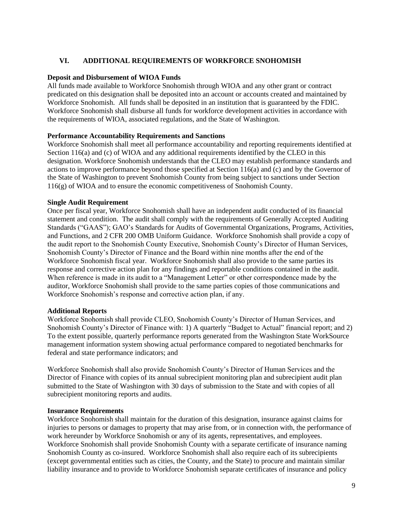## **VI. ADDITIONAL REQUIREMENTS OF WORKFORCE SNOHOMISH**

### **Deposit and Disbursement of WIOA Funds**

All funds made available to Workforce Snohomish through WIOA and any other grant or contract predicated on this designation shall be deposited into an account or accounts created and maintained by Workforce Snohomish. All funds shall be deposited in an institution that is guaranteed by the FDIC. Workforce Snohomish shall disburse all funds for workforce development activities in accordance with the requirements of WIOA, associated regulations, and the State of Washington.

## **Performance Accountability Requirements and Sanctions**

Workforce Snohomish shall meet all performance accountability and reporting requirements identified at Section 116(a) and (c) of WIOA and any additional requirements identified by the CLEO in this designation. Workforce Snohomish understands that the CLEO may establish performance standards and actions to improve performance beyond those specified at Section 116(a) and (c) and by the Governor of the State of Washington to prevent Snohomish County from being subject to sanctions under Section 116(g) of WIOA and to ensure the economic competitiveness of Snohomish County.

### **Single Audit Requirement**

Once per fiscal year, Workforce Snohomish shall have an independent audit conducted of its financial statement and condition. The audit shall comply with the requirements of Generally Accepted Auditing Standards ("GAAS"); GAO's Standards for Audits of Governmental Organizations, Programs, Activities, and Functions, and 2 CFR 200 OMB Uniform Guidance. Workforce Snohomish shall provide a copy of the audit report to the Snohomish County Executive, Snohomish County's Director of Human Services, Snohomish County's Director of Finance and the Board within nine months after the end of the Workforce Snohomish fiscal year. Workforce Snohomish shall also provide to the same parties its response and corrective action plan for any findings and reportable conditions contained in the audit. When reference is made in its audit to a "Management Letter" or other correspondence made by the auditor, Workforce Snohomish shall provide to the same parties copies of those communications and Workforce Snohomish's response and corrective action plan, if any.

#### **Additional Reports**

Workforce Snohomish shall provide CLEO, Snohomish County's Director of Human Services, and Snohomish County's Director of Finance with: 1) A quarterly "Budget to Actual" financial report; and 2) To the extent possible, quarterly performance reports generated from the Washington State WorkSource management information system showing actual performance compared to negotiated benchmarks for federal and state performance indicators; and

Workforce Snohomish shall also provide Snohomish County's Director of Human Services and the Director of Finance with copies of its annual subrecipient monitoring plan and subrecipient audit plan submitted to the State of Washington with 30 days of submission to the State and with copies of all subrecipient monitoring reports and audits.

#### **Insurance Requirements**

Workforce Snohomish shall maintain for the duration of this designation, insurance against claims for injuries to persons or damages to property that may arise from, or in connection with, the performance of work hereunder by Workforce Snohomish or any of its agents, representatives, and employees. Workforce Snohomish shall provide Snohomish County with a separate certificate of insurance naming Snohomish County as co-insured. Workforce Snohomish shall also require each of its subrecipients (except governmental entities such as cities, the County, and the State) to procure and maintain similar liability insurance and to provide to Workforce Snohomish separate certificates of insurance and policy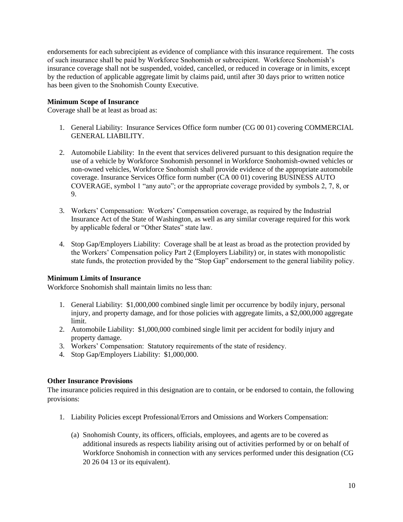endorsements for each subrecipient as evidence of compliance with this insurance requirement. The costs of such insurance shall be paid by Workforce Snohomish or subrecipient. Workforce Snohomish's insurance coverage shall not be suspended, voided, cancelled, or reduced in coverage or in limits, except by the reduction of applicable aggregate limit by claims paid, until after 30 days prior to written notice has been given to the Snohomish County Executive.

## **Minimum Scope of Insurance**

Coverage shall be at least as broad as:

- 1. General Liability: Insurance Services Office form number (CG 00 01) covering COMMERCIAL GENERAL LIABILITY.
- 2. Automobile Liability: In the event that services delivered pursuant to this designation require the use of a vehicle by Workforce Snohomish personnel in Workforce Snohomish-owned vehicles or non-owned vehicles, Workforce Snohomish shall provide evidence of the appropriate automobile coverage. Insurance Services Office form number (CA 00 01) covering BUSINESS AUTO COVERAGE, symbol 1 "any auto"; or the appropriate coverage provided by symbols 2, 7, 8, or 9.
- 3. Workers' Compensation: Workers' Compensation coverage, as required by the Industrial Insurance Act of the State of Washington, as well as any similar coverage required for this work by applicable federal or "Other States" state law.
- 4. Stop Gap/Employers Liability: Coverage shall be at least as broad as the protection provided by the Workers' Compensation policy Part 2 (Employers Liability) or, in states with monopolistic state funds, the protection provided by the "Stop Gap" endorsement to the general liability policy.

## **Minimum Limits of Insurance**

Workforce Snohomish shall maintain limits no less than:

- 1. General Liability: \$1,000,000 combined single limit per occurrence by bodily injury, personal injury, and property damage, and for those policies with aggregate limits, a \$2,000,000 aggregate limit.
- 2. Automobile Liability: \$1,000,000 combined single limit per accident for bodily injury and property damage.
- 3. Workers' Compensation: Statutory requirements of the state of residency.
- 4. Stop Gap/Employers Liability: \$1,000,000.

## **Other Insurance Provisions**

The insurance policies required in this designation are to contain, or be endorsed to contain, the following provisions:

- 1. Liability Policies except Professional/Errors and Omissions and Workers Compensation:
	- (a) Snohomish County, its officers, officials, employees, and agents are to be covered as additional insureds as respects liability arising out of activities performed by or on behalf of Workforce Snohomish in connection with any services performed under this designation (CG 20 26 04 13 or its equivalent).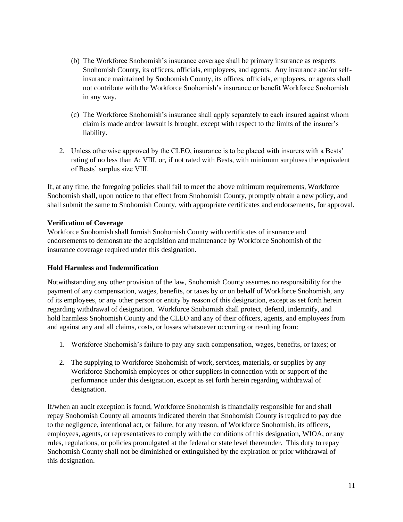- (b) The Workforce Snohomish's insurance coverage shall be primary insurance as respects Snohomish County, its officers, officials, employees, and agents. Any insurance and/or selfinsurance maintained by Snohomish County, its offices, officials, employees, or agents shall not contribute with the Workforce Snohomish's insurance or benefit Workforce Snohomish in any way.
- (c) The Workforce Snohomish's insurance shall apply separately to each insured against whom claim is made and/or lawsuit is brought, except with respect to the limits of the insurer's liability.
- 2. Unless otherwise approved by the CLEO, insurance is to be placed with insurers with a Bests' rating of no less than A: VIII, or, if not rated with Bests, with minimum surpluses the equivalent of Bests' surplus size VIII.

If, at any time, the foregoing policies shall fail to meet the above minimum requirements, Workforce Snohomish shall, upon notice to that effect from Snohomish County, promptly obtain a new policy, and shall submit the same to Snohomish County, with appropriate certificates and endorsements, for approval.

# **Verification of Coverage**

Workforce Snohomish shall furnish Snohomish County with certificates of insurance and endorsements to demonstrate the acquisition and maintenance by Workforce Snohomish of the insurance coverage required under this designation.

# **Hold Harmless and Indemnification**

Notwithstanding any other provision of the law, Snohomish County assumes no responsibility for the payment of any compensation, wages, benefits, or taxes by or on behalf of Workforce Snohomish, any of its employees, or any other person or entity by reason of this designation, except as set forth herein regarding withdrawal of designation. Workforce Snohomish shall protect, defend, indemnify, and hold harmless Snohomish County and the CLEO and any of their officers, agents, and employees from and against any and all claims, costs, or losses whatsoever occurring or resulting from:

- 1. Workforce Snohomish's failure to pay any such compensation, wages, benefits, or taxes; or
- 2. The supplying to Workforce Snohomish of work, services, materials, or supplies by any Workforce Snohomish employees or other suppliers in connection with or support of the performance under this designation, except as set forth herein regarding withdrawal of designation.

If/when an audit exception is found, Workforce Snohomish is financially responsible for and shall repay Snohomish County all amounts indicated therein that Snohomish County is required to pay due to the negligence, intentional act, or failure, for any reason, of Workforce Snohomish, its officers, employees, agents, or representatives to comply with the conditions of this designation, WIOA, or any rules, regulations, or policies promulgated at the federal or state level thereunder. This duty to repay Snohomish County shall not be diminished or extinguished by the expiration or prior withdrawal of this designation.